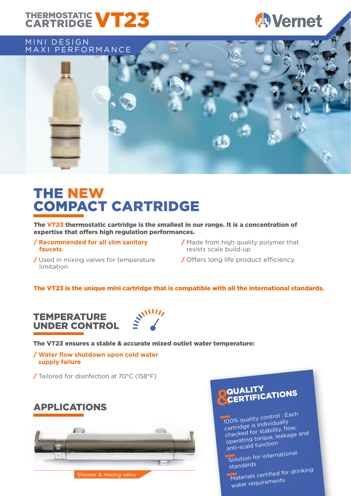## THERMOSTATIC **VT23**

## **Wernet**

### MINI DESIGN MAXI PERFORMANCE



## THE NEW COMPACT CARTRIDGE

The VT23 thermostatic cartridge is the smallest in our range. It is a concentration of expertise that offers high regulation performances.

/ **Recommended for all slim sanitary faucets**

/ Used in mixing valves for temperature

- / Made from high quality polymer that resists scale build-up
- / Offers long life product efficiency

## limitation

### The VT23 is the unique mini cartridge that is compatible with all the international standards.



The VT23 ensures a stable & accurate mixed outlet water temperature:

/ **Water flow shutdown upon cold water supply failure**

/ Tailored for disinfection at 70°C (158°F)

## APPLICATIONS



Shower & mixing valve



100% quality control : Each cartridge is individually checked for stability, flow, operating torque, leakage an<sup>d</sup> anti-scald function

Solution for international standards

Materials certified for drinking water requirements